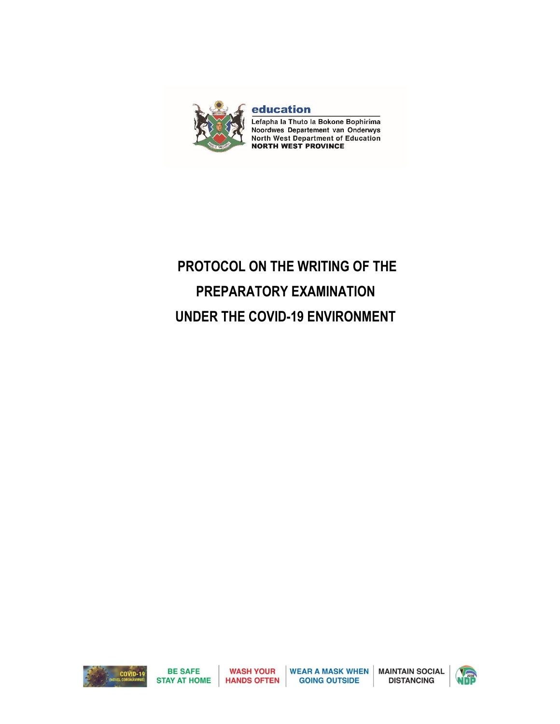

education Lefapha la Thuto la Bokone Bophirima Noordwes Departement van Onderwys **North West Department of Education<br>NORTH WEST PROVINCE** 

# **PROTOCOL ON THE WRITING OF THE PREPARATORY EXAMINATION UNDER THE COVID-19 ENVIRONMENT**





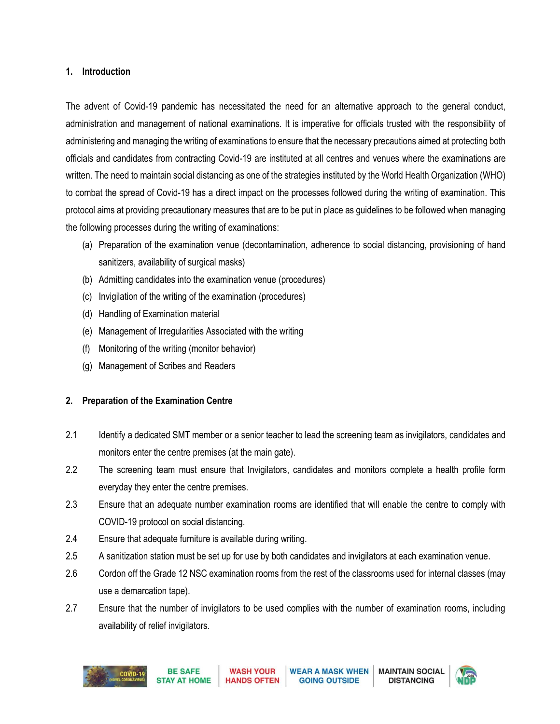#### **1. Introduction**

The advent of Covid-19 pandemic has necessitated the need for an alternative approach to the general conduct, administration and management of national examinations. It is imperative for officials trusted with the responsibility of administering and managing the writing of examinations to ensure that the necessary precautions aimed at protecting both officials and candidates from contracting Covid-19 are instituted at all centres and venues where the examinations are written. The need to maintain social distancing as one of the strategies instituted by the World Health Organization (WHO) to combat the spread of Covid-19 has a direct impact on the processes followed during the writing of examination. This protocol aims at providing precautionary measures that are to be put in place as guidelines to be followed when managing the following processes during the writing of examinations:

- (a) Preparation of the examination venue (decontamination, adherence to social distancing, provisioning of hand sanitizers, availability of surgical masks)
- (b) Admitting candidates into the examination venue (procedures)
- (c) Invigilation of the writing of the examination (procedures)
- (d) Handling of Examination material
- (e) Management of Irregularities Associated with the writing
- (f) Monitoring of the writing (monitor behavior)
- (g) Management of Scribes and Readers

# **2. Preparation of the Examination Centre**

- 2.1 Identify a dedicated SMT member or a senior teacher to lead the screening team as invigilators, candidates and monitors enter the centre premises (at the main gate).
- 2.2 The screening team must ensure that Invigilators, candidates and monitors complete a health profile form everyday they enter the centre premises.
- 2.3 Ensure that an adequate number examination rooms are identified that will enable the centre to comply with COVID-19 protocol on social distancing.
- 2.4 Ensure that adequate furniture is available during writing.
- 2.5 A sanitization station must be set up for use by both candidates and invigilators at each examination venue.
- 2.6 Cordon off the Grade 12 NSC examination rooms from the rest of the classrooms used for internal classes (may use a demarcation tape).
- 2.7 Ensure that the number of invigilators to be used complies with the number of examination rooms, including availability of relief invigilators.



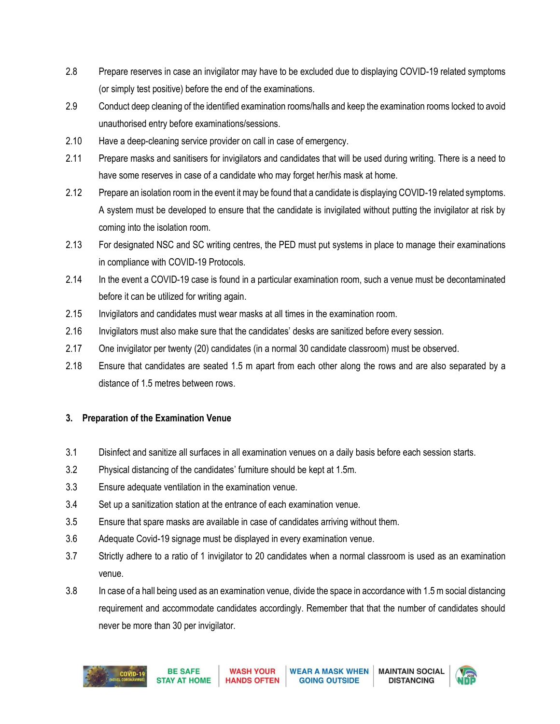- 2.8 Prepare reserves in case an invigilator may have to be excluded due to displaying COVID-19 related symptoms (or simply test positive) before the end of the examinations.
- 2.9 Conduct deep cleaning of the identified examination rooms/halls and keep the examination rooms locked to avoid unauthorised entry before examinations/sessions.
- 2.10 Have a deep-cleaning service provider on call in case of emergency.
- 2.11 Prepare masks and sanitisers for invigilators and candidates that will be used during writing. There is a need to have some reserves in case of a candidate who may forget her/his mask at home.
- 2.12 Prepare an isolation room in the event it may be found that a candidate is displaying COVID-19 related symptoms. A system must be developed to ensure that the candidate is invigilated without putting the invigilator at risk by coming into the isolation room.
- 2.13 For designated NSC and SC writing centres, the PED must put systems in place to manage their examinations in compliance with COVID-19 Protocols.
- 2.14 In the event a COVID-19 case is found in a particular examination room, such a venue must be decontaminated before it can be utilized for writing again.
- 2.15 Invigilators and candidates must wear masks at all times in the examination room.
- 2.16 Invigilators must also make sure that the candidates' desks are sanitized before every session.
- 2.17 One invigilator per twenty (20) candidates (in a normal 30 candidate classroom) must be observed.
- 2.18 Ensure that candidates are seated 1.5 m apart from each other along the rows and are also separated by a distance of 1.5 metres between rows.

# **3. Preparation of the Examination Venue**

- 3.1 Disinfect and sanitize all surfaces in all examination venues on a daily basis before each session starts.
- 3.2 Physical distancing of the candidates' furniture should be kept at 1.5m.
- 3.3 Ensure adequate ventilation in the examination venue.
- 3.4 Set up a sanitization station at the entrance of each examination venue.
- 3.5 Ensure that spare masks are available in case of candidates arriving without them.
- 3.6 Adequate Covid-19 signage must be displayed in every examination venue.
- 3.7 Strictly adhere to a ratio of 1 invigilator to 20 candidates when a normal classroom is used as an examination venue.
- 3.8 In case of a hall being used as an examination venue, divide the space in accordance with 1.5 m social distancing requirement and accommodate candidates accordingly. Remember that that the number of candidates should never be more than 30 per invigilator.



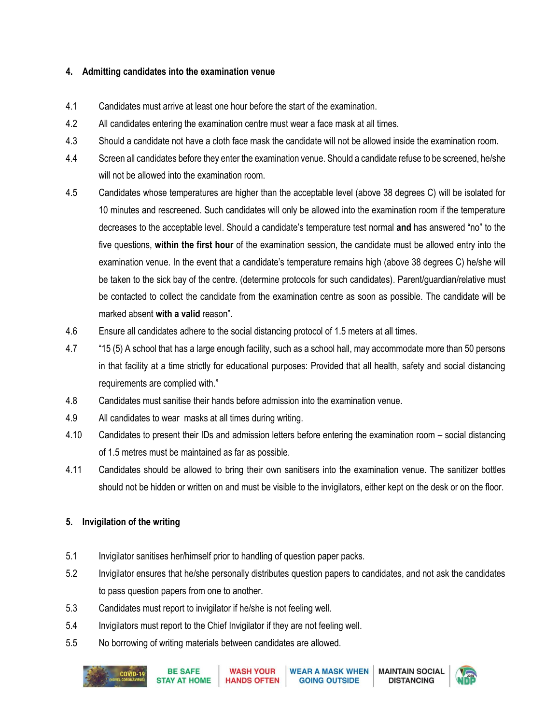#### **4. Admitting candidates into the examination venue**

- 4.1 Candidates must arrive at least one hour before the start of the examination.
- 4.2 All candidates entering the examination centre must wear a face mask at all times.
- 4.3 Should a candidate not have a cloth face mask the candidate will not be allowed inside the examination room.
- 4.4 Screen all candidates before they enter the examination venue. Should a candidate refuse to be screened, he/she will not be allowed into the examination room.
- 4.5 Candidates whose temperatures are higher than the acceptable level (above 38 degrees C) will be isolated for 10 minutes and rescreened. Such candidates will only be allowed into the examination room if the temperature decreases to the acceptable level. Should a candidate's temperature test normal **and** has answered "no" to the five questions, **within the first hour** of the examination session, the candidate must be allowed entry into the examination venue. In the event that a candidate's temperature remains high (above 38 degrees C) he/she will be taken to the sick bay of the centre. (determine protocols for such candidates). Parent/guardian/relative must be contacted to collect the candidate from the examination centre as soon as possible. The candidate will be marked absent **with a valid** reason".
- 4.6 Ensure all candidates adhere to the social distancing protocol of 1.5 meters at all times.
- 4.7 "15 (5) A school that has a large enough facility, such as a school hall, may accommodate more than 50 persons in that facility at a time strictly for educational purposes: Provided that all health, safety and social distancing requirements are complied with."
- 4.8 Candidates must sanitise their hands before admission into the examination venue.
- 4.9 All candidates to wear masks at all times during writing.
- 4.10 Candidates to present their IDs and admission letters before entering the examination room social distancing of 1.5 metres must be maintained as far as possible.
- 4.11 Candidates should be allowed to bring their own sanitisers into the examination venue. The sanitizer bottles should not be hidden or written on and must be visible to the invigilators, either kept on the desk or on the floor.

# **5. Invigilation of the writing**

- 5.1 Invigilator sanitises her/himself prior to handling of question paper packs.
- 5.2 Invigilator ensures that he/she personally distributes question papers to candidates, and not ask the candidates to pass question papers from one to another.
- 5.3 Candidates must report to invigilator if he/she is not feeling well.
- 5.4 Invigilators must report to the Chief Invigilator if they are not feeling well.
- 5.5 No borrowing of writing materials between candidates are allowed.



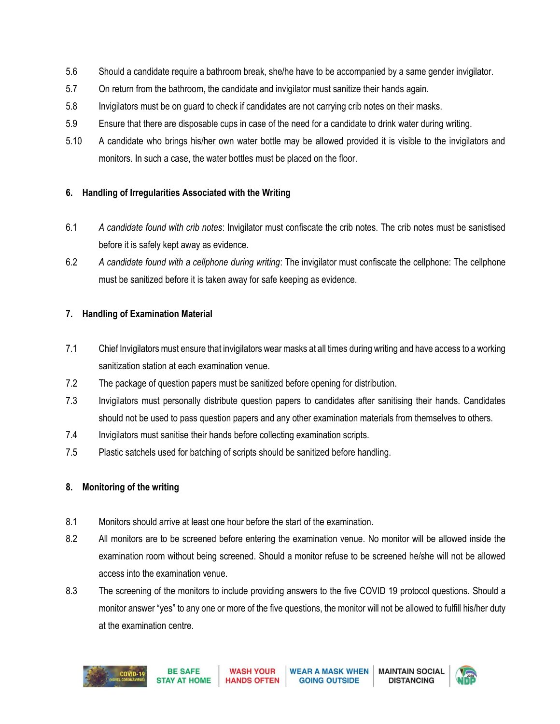- 5.6 Should a candidate require a bathroom break, she/he have to be accompanied by a same gender invigilator.
- 5.7 On return from the bathroom, the candidate and invigilator must sanitize their hands again.
- 5.8 Invigilators must be on guard to check if candidates are not carrying crib notes on their masks.
- 5.9 Ensure that there are disposable cups in case of the need for a candidate to drink water during writing.
- 5.10 A candidate who brings his/her own water bottle may be allowed provided it is visible to the invigilators and monitors. In such a case, the water bottles must be placed on the floor.

## **6. Handling of Irregularities Associated with the Writing**

- 6.1 *A candidate found with crib notes*: Invigilator must confiscate the crib notes. The crib notes must be sanistised before it is safely kept away as evidence.
- 6.2 *A candidate found with a cellphone during writing*: The invigilator must confiscate the cellphone: The cellphone must be sanitized before it is taken away for safe keeping as evidence.

## **7. Handling of Examination Material**

- 7.1 Chief Invigilators must ensure that invigilators wear masks at all times during writing and have access to a working sanitization station at each examination venue.
- 7.2 The package of question papers must be sanitized before opening for distribution.
- 7.3 Invigilators must personally distribute question papers to candidates after sanitising their hands. Candidates should not be used to pass question papers and any other examination materials from themselves to others.
- 7.4 Invigilators must sanitise their hands before collecting examination scripts.
- 7.5 Plastic satchels used for batching of scripts should be sanitized before handling.

# **8. Monitoring of the writing**

- 8.1 Monitors should arrive at least one hour before the start of the examination.
- 8.2 All monitors are to be screened before entering the examination venue. No monitor will be allowed inside the examination room without being screened. Should a monitor refuse to be screened he/she will not be allowed access into the examination venue.
- 8.3 The screening of the monitors to include providing answers to the five COVID 19 protocol questions. Should a monitor answer "yes" to any one or more of the five questions, the monitor will not be allowed to fulfill his/her duty at the examination centre.



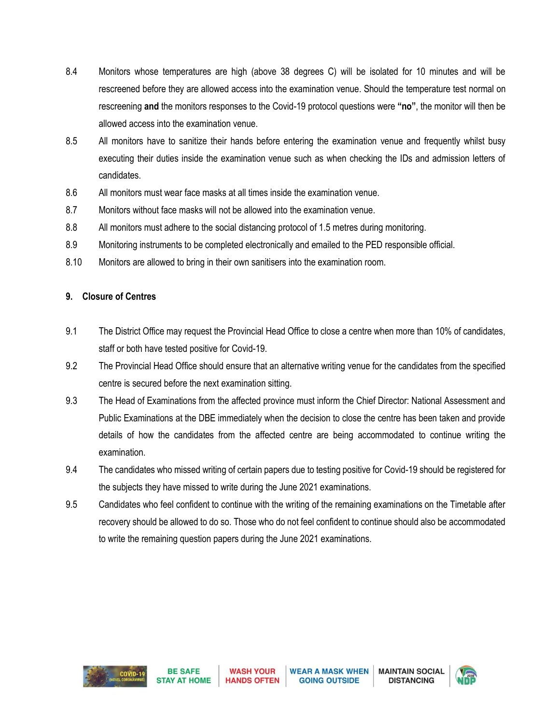- 8.4 Monitors whose temperatures are high (above 38 degrees C) will be isolated for 10 minutes and will be rescreened before they are allowed access into the examination venue. Should the temperature test normal on rescreening **and** the monitors responses to the Covid-19 protocol questions were **"no"**, the monitor will then be allowed access into the examination venue.
- 8.5 All monitors have to sanitize their hands before entering the examination venue and frequently whilst busy executing their duties inside the examination venue such as when checking the IDs and admission letters of candidates.
- 8.6 All monitors must wear face masks at all times inside the examination venue.
- 8.7 Monitors without face masks will not be allowed into the examination venue.
- 8.8 All monitors must adhere to the social distancing protocol of 1.5 metres during monitoring.
- 8.9 Monitoring instruments to be completed electronically and emailed to the PED responsible official.
- 8.10 Monitors are allowed to bring in their own sanitisers into the examination room.

#### **9. Closure of Centres**

- 9.1 The District Office may request the Provincial Head Office to close a centre when more than 10% of candidates, staff or both have tested positive for Covid-19.
- 9.2 The Provincial Head Office should ensure that an alternative writing venue for the candidates from the specified centre is secured before the next examination sitting.
- 9.3 The Head of Examinations from the affected province must inform the Chief Director: National Assessment and Public Examinations at the DBE immediately when the decision to close the centre has been taken and provide details of how the candidates from the affected centre are being accommodated to continue writing the examination.
- 9.4 The candidates who missed writing of certain papers due to testing positive for Covid-19 should be registered for the subjects they have missed to write during the June 2021 examinations.
- 9.5 Candidates who feel confident to continue with the writing of the remaining examinations on the Timetable after recovery should be allowed to do so. Those who do not feel confident to continue should also be accommodated to write the remaining question papers during the June 2021 examinations.